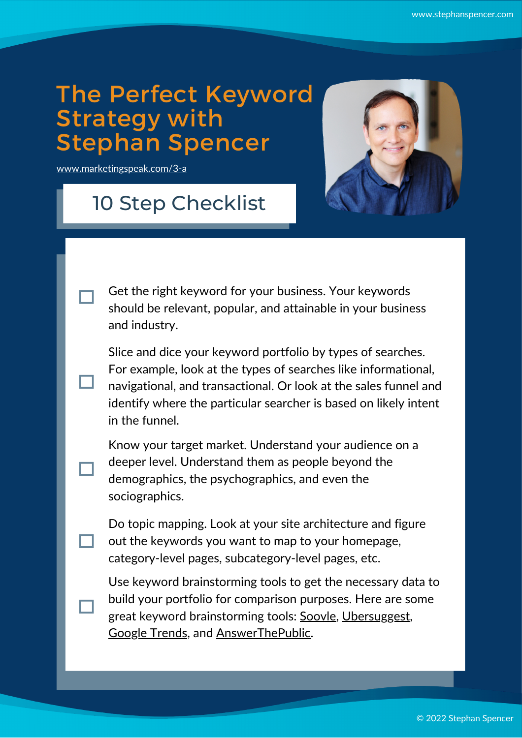## The Perfect Keyword Strategy with Stephan Spencer

[www.marketingspeak.com/3-a](http://www.marketingspeak.com/3-a)

## 10 Step Checklist



Get the right keyword for your business. Your keywords should be relevant, popular, and attainable in your business and industry.

Slice and dice your keyword portfolio by types of searches. For example, look at the types of searches like informational, navigational, and transactional. Or look at the sales funnel and identify where the particular searcher is based on likely intent in the funnel.

Know your target market. Understand your audience on a deeper level. Understand them as people beyond the demographics, the psychographics, and even the sociographics.

Do topic mapping. Look at your site architecture and figure out the keywords you want to map to your homepage, category-level pages, subcategory-level pages, etc.

Use keyword brainstorming tools to get the necessary data to build your portfolio for comparison purposes. Here are some great keyword brainstorming tools: [Soovle](https://soovle.com/), [Ubersuggest,](https://neilpatel.com/ubersuggest/) [Google](https://trends.google.com/trends/) Trends, and [AnswerThePublic](https://answerthepublic.com/).